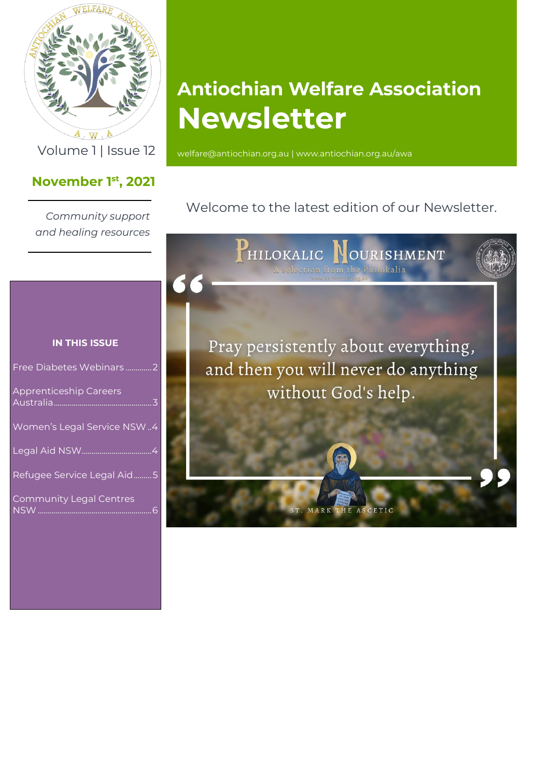

 $A \cdot W \cdot A$ 

## **November 1 st , 2021**

*Community support and healing resources*

# **Antiochian Welfare Association Newsletter**

Volume 1 | Issue 12 [welfare@antiochian.org.au](mailto:welfare@antiochian.org.au) [| www.antiochian.org.au/awa](http://www.antiochian.org.au/awa)

Welcome to the latest edition of our Newsletter.



#### **IN THIS ISSUE**

| Free Diabetes Webinars2        |
|--------------------------------|
| <b>Apprenticeship Careers</b>  |
| Women's Legal Service NSW4     |
|                                |
| Refugee Service Legal Aid5     |
| <b>Community Legal Centres</b> |
|                                |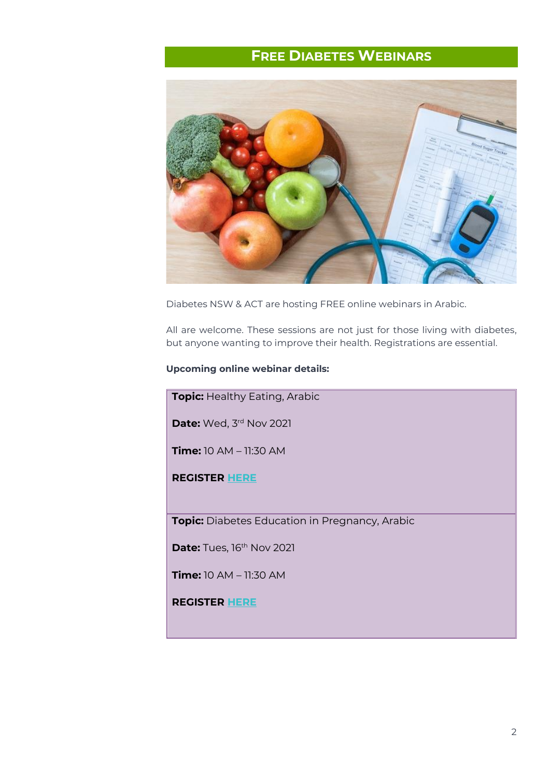# **FREE DIABETES WEBINARS**

<span id="page-1-0"></span>

Diabetes NSW & ACT are hosting FREE online webinars in Arabic.

All are welcome. These sessions are not just for those living with diabetes, but anyone wanting to improve their health. Registrations are essential.

#### **Upcoming online webinar details:**

**Topic:** Healthy Eating, Arabic

**Date:** Wed, 3<sup>rd</sup> Nov 2021

**Time:** 10 AM – 11:30 AM

**REGISTER [HERE](https://events.ndss.com.au/details/?route=portal&flow=&eventguid=0c65127b-9625-ec11-b6e6-002248119f15&eventid=Healthy_Eating_Webinar_Arabic_03112021359598005&contactguid=)**

**Topic:** Diabetes Education in Pregnancy, Arabic

**Date:** Tues, 16<sup>th</sup> Nov 2021

**Time:** 10 AM – 11:30 AM

**REGISTER [HERE](https://www.eventbrite.com.au/e/diabetes-in-pregnancy-arabic-online-session-november-2021-tickets-168386110389)**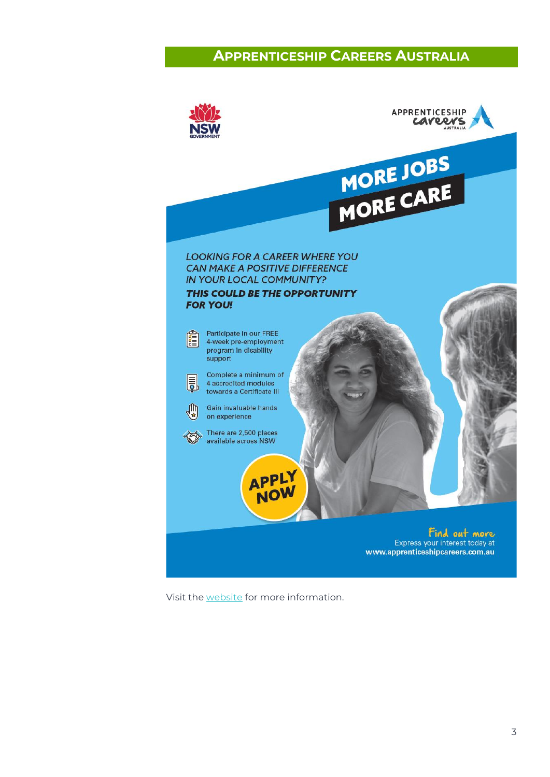### **APPRENTICESHIP CAREERS AUSTRALIA**

<span id="page-2-0"></span>

Visit the [website](https://www.apprenticeshipcareers.com.au/?utm_source=go&utm_medium=cpc_b&utm_campaign=aca_ao20_parramatta&utm_term=apprenticeship%20careers&utm_campaign=ACA+20-21+-+Parramatta&utm_source=adwords&utm_medium=ppc&hsa_acc=7854806838&hsa_cam=11173515030&hsa_grp=109554315996&hsa_ad=466757481017&hsa_src=g&hsa_tgt=kwd-10488986104&hsa_kw=apprenticeship%20careers&hsa_mt=e&hsa_net=adwords&hsa_ver=3&gclid=CjwKCAjwh5qLBhALEiwAioods8mSgoDn9U598NSsUldE9W7IbTktfC0V14uPILoMLPawM80Pxw2HexoCVtoQAvD_BwE) for more information.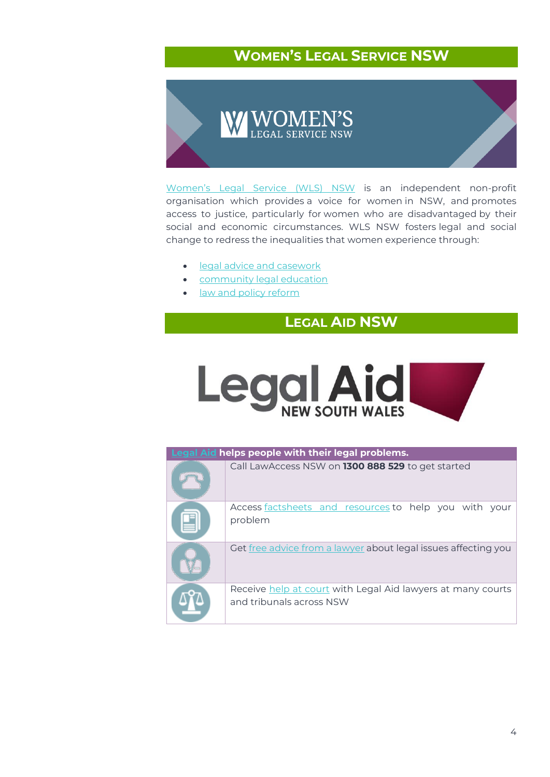# **WOMEN'S LEGAL SERVICE NSW**

<span id="page-3-0"></span>![](_page_3_Picture_1.jpeg)

[Women's Legal Service \(WLS\) NSW](https://www.wlsnsw.org.au/) is an independent non-profit organisation which provides a voice for women in NSW, and promotes access to justice, particularly for women who are disadvantaged by their social and economic circumstances. WLS NSW fosters legal and social change to redress the inequalities that women experience through:

- [legal advice and casework](http://www.wlsnsw.org.au/legal-services/legal-advice-and-casework/)
- [community legal education](http://www.wlsnsw.org.au/legal-services/community-legal-education/)
- <span id="page-3-1"></span>• [law and policy reform](http://www.wlsnsw.org.au/law-reform/)

# **LEGAL AID NSW**

![](_page_3_Picture_7.jpeg)

| Legal Aid helps people with their legal problems. |                                                                                         |
|---------------------------------------------------|-----------------------------------------------------------------------------------------|
|                                                   | Call LawAccess NSW on 1300 888 529 to get started                                       |
|                                                   | Access factsheets and resources to help you with your<br>problem                        |
|                                                   | Get free advice from a lawyer about legal issues affecting you                          |
|                                                   | Receive help at court with Legal Aid lawyers at many courts<br>and tribunals across NSW |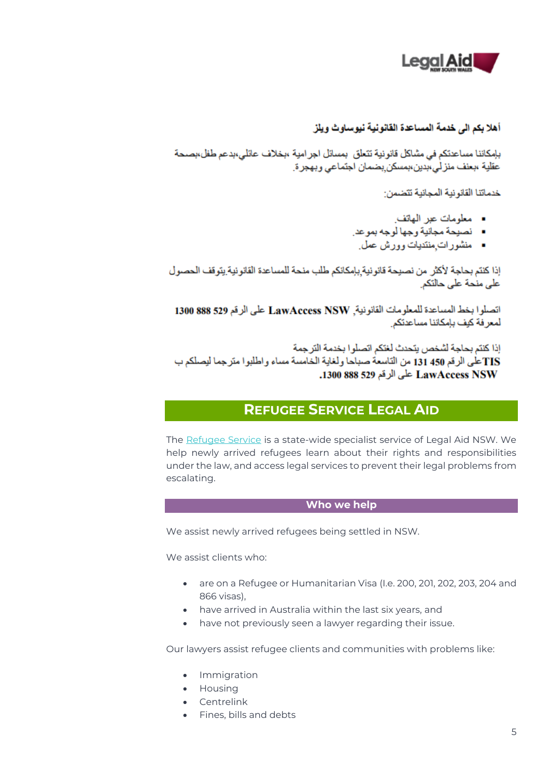![](_page_4_Picture_0.jpeg)

#### أهلا بكم الى خدمة المساعدة القانونية نيوساوث ويلز

بإمكاننا مساعدتكم في مشاكل قانونية تتعلَّق بمسائل اجر امية ،بخلاف عائلي،بدعم طفل،بصحة عقلية ،بعنف منز لي،بدين،بمسكن بضمان اجتماعي وبهجر ة.

خدماتنا القانونية المجانية تتضمن:

- معلومات عبر الهاتف
- نصيحة مجانية وجها لوجه بموعد.
- منشورات منتديات وورش عمل

إذا كنتم بحاجة لأكثر من نصيحة قانونية بإمكانكم طلب منحة للمساعدة القانونية يتوقف الحصول على منحة على حالتكر

اتصلوا بخط المساعدة للمعلومات القانونية, LawAccess NSW على الرقم 529 888 1300 لمعر فة كيف بإمكاننا مساعدتكن

إذا كنتم بحاجة لشخص يتحدث لغتكم اتصلو ا بخدمة التر جمة TISكلَّى الرقم 131 450 من التاسعة صباحا ولغاية الخامسة مساء واطلبوا مترجما ليصلكم ب LawAccess NSW على الرقم 529 1300 1300.

## **REFUGEE SERVICE LEGAL AID**

<span id="page-4-0"></span>The [Refugee Service](https://www.legalaid.nsw.gov.au/what-we-do/civil-law/refugee-service) is a state-wide specialist service of Legal Aid NSW. We help newly arrived refugees learn about their rights and responsibilities under the law, and access legal services to prevent their legal problems from escalating.

#### **Who we help**

We assist newly arrived refugees being settled in NSW.

We assist clients who:

- are on a Refugee or Humanitarian Visa (I.e. 200, 201, 202, 203, 204 and 866 visas),
- have arrived in Australia within the last six years, and
- have not previously seen a lawyer regarding their issue.

Our lawyers assist refugee clients and communities with problems like:

- Immigration
- Housing
- Centrelink
- Fines, bills and debts